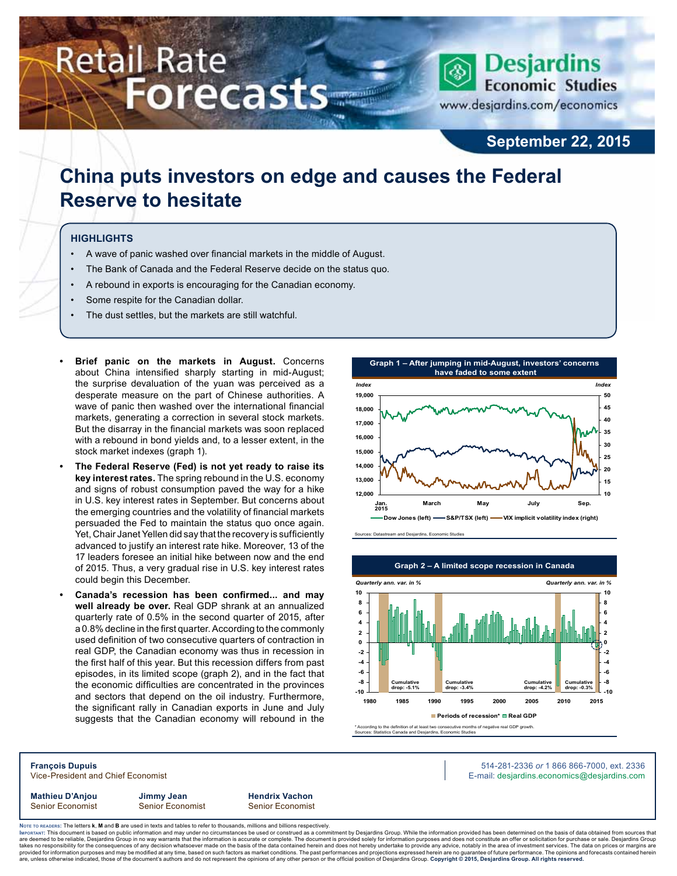# **Retail Rate Forecasts**



**September 22, 2015**

## **China puts investors on edge and causes the Federal Reserve to hesitate**

#### **Highlights**

- A wave of panic washed over financial markets in the middle of August.
- The Bank of Canada and the Federal Reserve decide on the status quo.
- A rebound in exports is encouraging for the Canadian economy.
- Some respite for the Canadian dollar.
- The dust settles, but the markets are still watchful.
- **Brief panic on the markets in August.** Concerns about China intensified sharply starting in mid-August; the surprise devaluation of the yuan was perceived as a desperate measure on the part of Chinese authorities. A wave of panic then washed over the international financial markets, generating a correction in several stock markets. But the disarray in the financial markets was soon replaced with a rebound in bond yields and, to a lesser extent, in the stock market indexes (graph 1).
- The Federal Reserve (Fed) is not yet ready to raise its **key interest rates.** The spring rebound in the U.S. economy and signs of robust consumption paved the way for a hike in U.S. key interest rates in September. But concerns about the emerging countries and the volatility of financial markets persuaded the Fed to maintain the status quo once again. Yet, Chair Janet Yellen did say that the recovery is sufficiently advanced to justify an interest rate hike. Moreover, 13 of the 17 leaders foresee an initial hike between now and the end of 2015. Thus, a very gradual rise in U.S. key interest rates could begin this December.
- **• Canada's recession has been confirmed... and may well already be over.** Real GDP shrank at an annualized quarterly rate of 0.5% in the second quarter of 2015, after a 0.8% decline in the first quarter. According to the commonly used definition of two consecutive quarters of contraction in real GDP, the Canadian economy was thus in recession in the first half of this year. But this recession differs from past episodes, in its limited scope (graph 2), and in the fact that the economic difficulties are concentrated in the provinces and sectors that depend on the oil industry. Furthermore, the significant rally in Canadian exports in June and July suggests that the Canadian economy will rebound in the

**Graph 1 – After jumping in mid-August, investors' concerns have faded to some extent 12,000 13,000 14,000 15,000 16,000 17,000 18,000 19,000 Jan. March May July Sep. 10 15 20 25 30 35 40 45 50 Dow Jones (left) S&P/TSX (left) VIX implicit volatility index (right)** *Index Index* **2015**





Sources: Statistics Canada and Desjardins, Economic Studies

**François Dupuis** 514-281-2336 *or* 1 866 866-7000, ext. 2336 Vice-President and Chief Economist **E-mail: designediate and Chief Economist** E-mail: designediate economics@desjardins.com

Senior Economist Senior Economist Senior Economist

**Mathieu D'Anjou Jimmy Jean Hendrix Vachon**

Noте то келоекs: The letters **k, M** and **B** are used in texts and tables to refer to thousands, millions and billions respectively.<br>Імроктлит: This document is based on public information and may under no circumstances be are deemed to be reliable, Desjardins Group in no way warrants that the information is accurate or complete. The document is provided solely for information purposes and does not constitute an offer or solicitation for pur takes no responsibility for the consequences of any decision whatsoever made on the basis of the data contained herein and does not hereby undertake to provide any advice, notably in the area of investment services. The da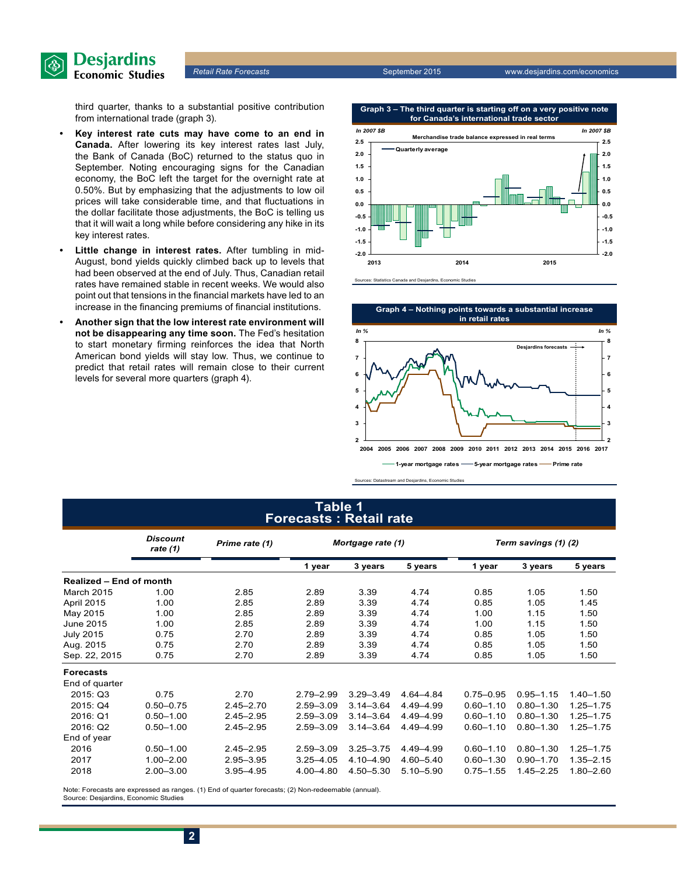

**Partail Rate Forecasts September 2015** www.desjardins.com/economics

third quarter, thanks to a substantial positive contribution from international trade (graph 3).

- **• Key interest rate cuts may have come to an end in Canada.** After lowering its key interest rates last July, the Bank of Canada (BoC) returned to the status quo in September. Noting encouraging signs for the Canadian economy, the BoC left the target for the overnight rate at 0.50%. But by emphasizing that the adjustments to low oil prices will take considerable time, and that fluctuations in the dollar facilitate those adjustments, the BoC is telling us that it will wait a long while before considering any hike in its key interest rates.
- **• Little change in interest rates.** After tumbling in mid-August, bond yields quickly climbed back up to levels that had been observed at the end of July. Thus, Canadian retail rates have remained stable in recent weeks. We would also point out that tensions in the financial markets have led to an increase in the financing premiums of financial institutions.
- **• Another sign that the low interest rate environment will not be disappearing any time soon.** The Fed's hesitation to start monetary firming reinforces the idea that North American bond yields will stay low. Thus, we continue to predict that retail rates will remain close to their current levels for several more quarters (graph 4).



**Graph 3 – The third quarter is starting off on a very positive note for Canada's international trade sector**





Sources: Datastream and Desjardins, Economic Studies

#### **Table 1 Forecasts : Retail rate**

|                                | <b>Discount</b><br>rate (1) | Prime rate (1) |               | Mortgage rate (1) |               |               | Term savings (1) (2) |               |  |  |
|--------------------------------|-----------------------------|----------------|---------------|-------------------|---------------|---------------|----------------------|---------------|--|--|
|                                |                             |                | 1 year        | 3 years           | 5 years       | 1 year        | 3 years              | 5 years       |  |  |
| <b>Realized - End of month</b> |                             |                |               |                   |               |               |                      |               |  |  |
| March 2015                     | 1.00                        | 2.85           | 2.89          | 3.39              | 4.74          | 0.85          | 1.05                 | 1.50          |  |  |
| April 2015                     | 1.00                        | 2.85           | 2.89          | 3.39              | 4.74          | 0.85          | 1.05                 | 1.45          |  |  |
| May 2015                       | 1.00                        | 2.85           | 2.89          | 3.39              | 4.74          | 1.00          | 1.15                 | 1.50          |  |  |
| <b>June 2015</b>               | 1.00                        | 2.85           | 2.89          | 3.39              | 4.74          | 1.00          | 1.15                 | 1.50          |  |  |
| <b>July 2015</b>               | 0.75                        | 2.70           | 2.89          | 3.39              | 4.74          | 0.85          | 1.05                 | 1.50          |  |  |
| Aug. 2015                      | 0.75                        | 2.70           | 2.89          | 3.39              | 4.74          | 0.85          | 1.05                 | 1.50          |  |  |
| Sep. 22, 2015                  | 0.75                        | 2.70           | 2.89          | 3.39              | 4.74          | 0.85          | 1.05                 | 1.50          |  |  |
| <b>Forecasts</b>               |                             |                |               |                   |               |               |                      |               |  |  |
| End of quarter                 |                             |                |               |                   |               |               |                      |               |  |  |
| 2015: Q3                       | 0.75                        | 2.70           | $2.79 - 2.99$ | $3.29 - 3.49$     | 4.64-4.84     | $0.75 - 0.95$ | $0.95 - 1.15$        | $1.40 - 1.50$ |  |  |
| 2015: Q4                       | $0.50 - 0.75$               | $2.45 - 2.70$  | $2.59 - 3.09$ | $3.14 - 3.64$     | 4.49-4.99     | $0.60 - 1.10$ | $0.80 - 1.30$        | $1.25 - 1.75$ |  |  |
| 2016: Q1                       | $0.50 - 1.00$               | $2.45 - 2.95$  | $2.59 - 3.09$ | $3.14 - 3.64$     | 4.49-4.99     | $0.60 - 1.10$ | $0.80 - 1.30$        | $1.25 - 1.75$ |  |  |
| 2016: Q2                       | $0.50 - 1.00$               | 2.45-2.95      | $2.59 - 3.09$ | $3.14 - 3.64$     | 4.49 - 4.99   | $0.60 - 1.10$ | $0.80 - 1.30$        | $1.25 - 1.75$ |  |  |
| End of year                    |                             |                |               |                   |               |               |                      |               |  |  |
| 2016                           | $0.50 - 1.00$               | $2.45 - 2.95$  | $2.59 - 3.09$ | $3.25 - 3.75$     | 4.49 - 4.99   | $0.60 - 1.10$ | $0.80 - 1.30$        | $1.25 - 1.75$ |  |  |
| 2017                           | $1.00 - 2.00$               | $2.95 - 3.95$  | $3.25 - 4.05$ | 4.10-4.90         | $4.60 - 5.40$ | $0.60 - 1.30$ | $0.90 - 1.70$        | $1.35 - 2.15$ |  |  |
| 2018                           | $2.00 - 3.00$               | $3.95 - 4.95$  | 4.00-4.80     | $4.50 - 5.30$     | $5.10 - 5.90$ | $0.75 - 1.55$ | $1.45 - 2.25$        | $1.80 - 2.60$ |  |  |

Note: Forecasts are expressed as ranges. (1) End of quarter forecasts; (2) Non-redeemable (annual). Source: Desjardins, Economic Studies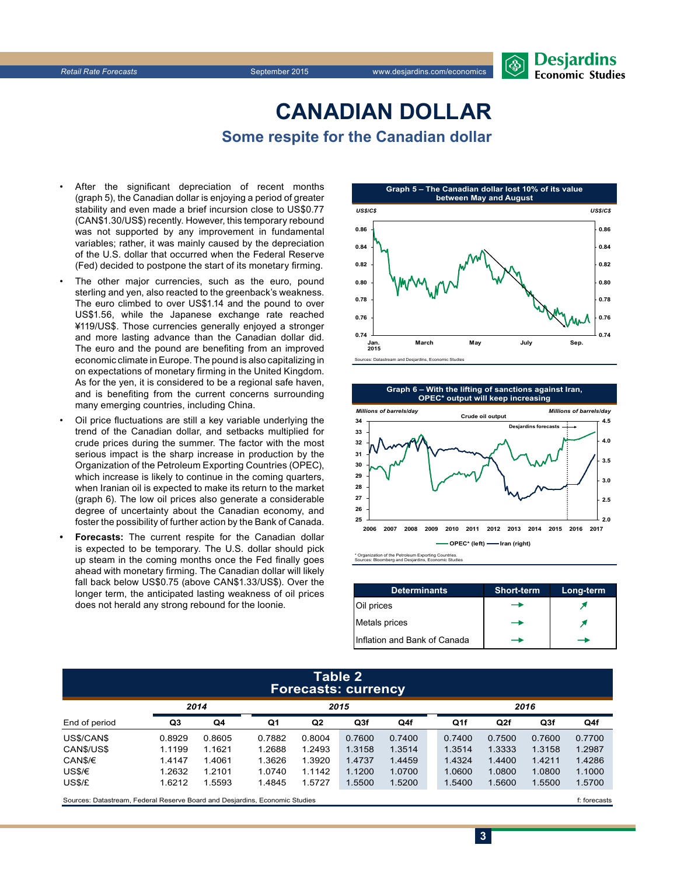## **CanadiAn Dollar Some respite for the Canadian dollar**

- After the significant depreciation of recent months (graph 5), the Canadian dollar is enjoying a period of greater stability and even made a brief incursion close to US\$0.77 (CAN\$1.30/US\$) recently. However, this temporary rebound was not supported by any improvement in fundamental variables; rather, it was mainly caused by the depreciation of the U.S. dollar that occurred when the Federal Reserve (Fed) decided to postpone the start of its monetary firming.
- The other major currencies, such as the euro, pound sterling and yen, also reacted to the greenback's weakness. The euro climbed to over US\$1.14 and the pound to over US\$1.56, while the Japanese exchange rate reached ¥119/US\$. Those currencies generally enjoyed a stronger and more lasting advance than the Canadian dollar did. The euro and the pound are benefiting from an improved economic climate in Europe. The pound is also capitalizing in on expectations of monetary firming in the United Kingdom. As for the yen, it is considered to be a regional safe haven, and is benefiting from the current concerns surrounding many emerging countries, including China.
- Oil price fluctuations are still a key variable underlying the trend of the Canadian dollar, and setbacks multiplied for crude prices during the summer. The factor with the most serious impact is the sharp increase in production by the Organization of the Petroleum Exporting Countries (OPEC), which increase is likely to continue in the coming quarters, when Iranian oil is expected to make its return to the market (graph 6). The low oil prices also generate a considerable degree of uncertainty about the Canadian economy, and foster the possibility of further action by the Bank of Canada.
- **Forecasts:** The current respite for the Canadian dollar is expected to be temporary. The U.S. dollar should pick up steam in the coming months once the Fed finally goes ahead with monetary firming. The Canadian dollar will likely fall back below US\$0.75 (above CAN\$1.33/US\$). Over the longer term, the anticipated lasting weakness of oil prices does not herald any strong rebound for the loonie.



**Graph 6 – With the lifting of sanctions against Iran, OPEC\* output will keep increasing**



\* Organization of the Petroleum Exporting Countries. Sources: Bloomberg and Desjardins, Economic Studies

| <b>Determinants</b>          | <b>Short-term</b> | Long-term |
|------------------------------|-------------------|-----------|
| Oil prices                   |                   |           |
| Metals prices                |                   |           |
| Inflation and Bank of Canada |                   |           |

**3**

#### **Table 2 Forecasts: currency**

|               | 2014   |                | 2015   |        |        |        | 2016            |        |        |        |
|---------------|--------|----------------|--------|--------|--------|--------|-----------------|--------|--------|--------|
| End of period | Q3     | Q <sub>4</sub> | Q1     | Q2     | Q3f    | Q4f    | Q <sub>1f</sub> | Q2f    | Q3f    | Q4f    |
| US\$/CAN\$    | 0.8929 | 0.8605         | 0.7882 | 0.8004 | 0.7600 | 0.7400 | 0.7400          | 0.7500 | 0.7600 | 0.7700 |
| CANS/US\$     | 1.1199 | 1.1621         | 1.2688 | 1.2493 | 1.3158 | 1.3514 | 1.3514          | 1.3333 | 1.3158 | 1.2987 |
| CAN\$/€       | 1.4147 | 1.4061         | 1.3626 | 1.3920 | 1.4737 | 1.4459 | 1.4324          | 1.4400 | 1.4211 | 1.4286 |
| US\$/€        | 1.2632 | 1.2101         | 1.0740 | 1.1142 | 1.1200 | 1.0700 | 1.0600          | 1.0800 | 1.0800 | 1.1000 |
| US\$/£        | 1.6212 | .5593          | 1.4845 | 1.5727 | 1.5500 | 1.5200 | 1.5400          | 1.5600 | 1.5500 | 1.5700 |
|               |        |                |        |        |        |        |                 |        |        |        |

Sources: Datastream, Federal Reserve Board and Desjardins, Economic Studies files for example of the studies files forecasts files forecasts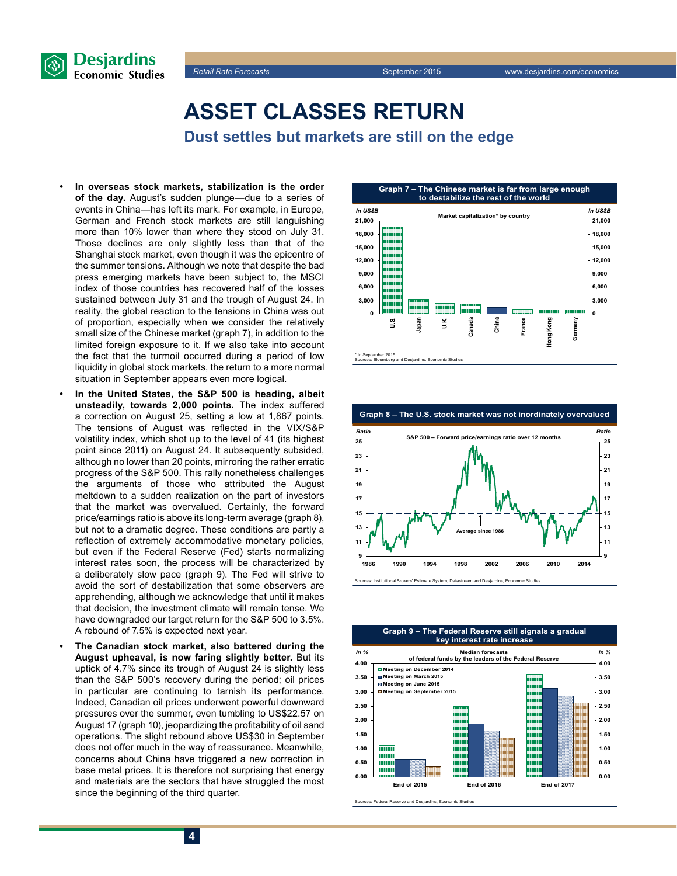



## **Asset classes return**

**Dust settles but markets are still on the edge**

- In overseas stock markets, stabilization is the order **of the day.** August's sudden plunge—due to a series of events in China—has left its mark. For example, in Europe, German and French stock markets are still languishing more than 10% lower than where they stood on July 31. Those declines are only slightly less than that of the Shanghai stock market, even though it was the epicentre of the summer tensions. Although we note that despite the bad press emerging markets have been subject to, the MSCI index of those countries has recovered half of the losses sustained between July 31 and the trough of August 24. In reality, the global reaction to the tensions in China was out of proportion, especially when we consider the relatively small size of the Chinese market (graph 7), in addition to the limited foreign exposure to it. If we also take into account the fact that the turmoil occurred during a period of low liquidity in global stock markets, the return to a more normal situation in September appears even more logical.
- In the United States, the S&P **500** is heading, albeit **unsteadily, towards 2,000 points.** The index suffered a correction on August 25, setting a low at 1,867 points. The tensions of August was reflected in the VIX/S&P volatility index, which shot up to the level of 41 (its highest point since 2011) on August 24. It subsequently subsided, although no lower than 20 points, mirroring the rather erratic progress of the S&P 500. This rally nonetheless challenges the arguments of those who attributed the August meltdown to a sudden realization on the part of investors that the market was overvalued. Certainly, the forward price/earnings ratio is above its long-term average (graph 8), but not to a dramatic degree. These conditions are partly a reflection of extremely accommodative monetary policies, but even if the Federal Reserve (Fed) starts normalizing interest rates soon, the process will be characterized by a deliberately slow pace (graph 9). The Fed will strive to avoid the sort of destabilization that some observers are apprehending, although we acknowledge that until it makes that decision, the investment climate will remain tense. We have downgraded our target return for the S&P 500 to 3.5%. A rebound of 7.5% is expected next year.
- **The Canadian stock market, also battered during the August upheaval, is now faring slightly better.** But its uptick of 4.7% since its trough of August 24 is slightly less than the S&P 500's recovery during the period; oil prices in particular are continuing to tarnish its performance. Indeed, Canadian oil prices underwent powerful downward pressures over the summer, even tumbling to US\$22.57 on August 17 (graph 10), jeopardizing the profitability of oil sand operations. The slight rebound above US\$30 in September does not offer much in the way of reassurance. Meanwhile, concerns about China have triggered a new correction in base metal prices. It is therefore not surprising that energy and materials are the sectors that have struggled the most since the beginning of the third quarter.





n, Datastream and Desjardins, Economic Studies,